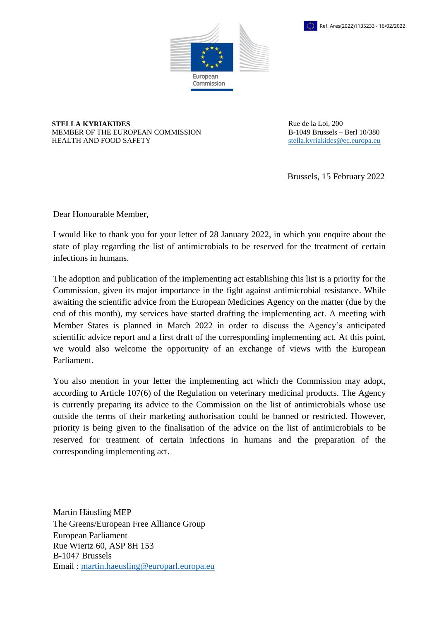

**STELLA KYRIAKIDES**  MEMBER OF THE EUROPEAN COMMISSION HEALTH AND FOOD SAFETY

Rue de la Loi, 200 B-1049 Brussels – Berl 10/380 [stella.kyriakides@ec.europa.eu](mailto:stella.kyriakides@ec.europa.eu)

Brussels, 15 February 2022

Dear Honourable Member,

I would like to thank you for your letter of 28 January 2022, in which you enquire about the state of play regarding the list of antimicrobials to be reserved for the treatment of certain infections in humans.

The adoption and publication of the implementing act establishing this list is a priority for the Commission, given its major importance in the fight against antimicrobial resistance. While awaiting the scientific advice from the European Medicines Agency on the matter (due by the end of this month), my services have started drafting the implementing act. A meeting with Member States is planned in March 2022 in order to discuss the Agency's anticipated scientific advice report and a first draft of the corresponding implementing act. At this point, we would also welcome the opportunity of an exchange of views with the European Parliament.

You also mention in your letter the implementing act which the Commission may adopt, according to Article 107(6) of the Regulation on veterinary medicinal products. The Agency is currently preparing its advice to the Commission on the list of antimicrobials whose use outside the terms of their marketing authorisation could be banned or restricted. However, priority is being given to the finalisation of the advice on the list of antimicrobials to be reserved for treatment of certain infections in humans and the preparation of the corresponding implementing act.

Martin Häusling MEP The Greens/European Free Alliance Group European Parliament Rue Wiertz 60, ASP 8H 153 B-1047 Brussels Email : [martin.haeusling@europarl.europa.eu](mailto:martin.haeusling@europarl.europa.eu)